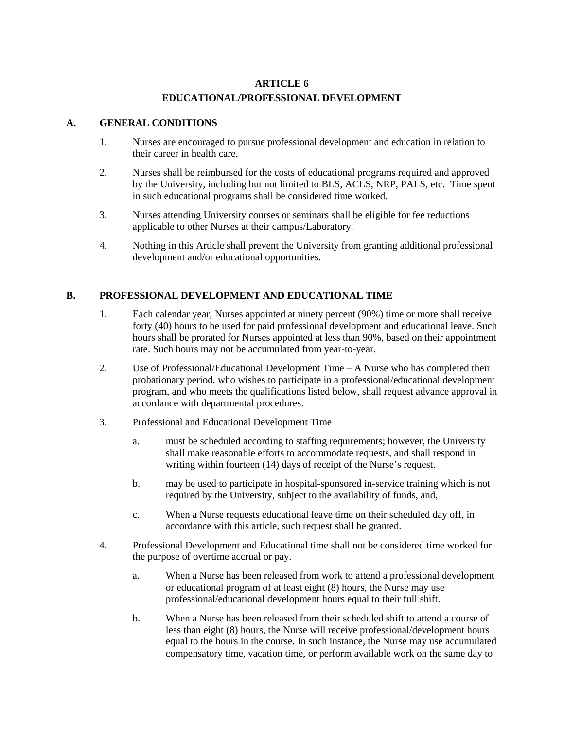## **ARTICLE 6 EDUCATIONAL/PROFESSIONAL DEVELOPMENT**

## **A. GENERAL CONDITIONS**

- 1. Nurses are encouraged to pursue professional development and education in relation to their career in health care.
- 2. Nurses shall be reimbursed for the costs of educational programs required and approved by the University, including but not limited to BLS, ACLS, NRP, PALS, etc. Time spent in such educational programs shall be considered time worked.
- 3. Nurses attending University courses or seminars shall be eligible for fee reductions applicable to other Nurses at their campus/Laboratory.
- 4. Nothing in this Article shall prevent the University from granting additional professional development and/or educational opportunities.

## **B. PROFESSIONAL DEVELOPMENT AND EDUCATIONAL TIME**

- 1. Each calendar year, Nurses appointed at ninety percent (90%) time or more shall receive forty (40) hours to be used for paid professional development and educational leave. Such hours shall be prorated for Nurses appointed at less than 90%, based on their appointment rate. Such hours may not be accumulated from year-to-year.
- 2. Use of Professional/Educational Development Time A Nurse who has completed their probationary period, who wishes to participate in a professional/educational development program, and who meets the qualifications listed below, shall request advance approval in accordance with departmental procedures.
- 3. Professional and Educational Development Time
	- a. must be scheduled according to staffing requirements; however, the University shall make reasonable efforts to accommodate requests, and shall respond in writing within fourteen (14) days of receipt of the Nurse's request.
	- b. may be used to participate in hospital-sponsored in-service training which is not required by the University, subject to the availability of funds, and,
	- c. When a Nurse requests educational leave time on their scheduled day off, in accordance with this article, such request shall be granted.
- 4. Professional Development and Educational time shall not be considered time worked for the purpose of overtime accrual or pay.
	- a. When a Nurse has been released from work to attend a professional development or educational program of at least eight (8) hours, the Nurse may use professional/educational development hours equal to their full shift.
	- b. When a Nurse has been released from their scheduled shift to attend a course of less than eight (8) hours, the Nurse will receive professional/development hours equal to the hours in the course. In such instance, the Nurse may use accumulated compensatory time, vacation time, or perform available work on the same day to